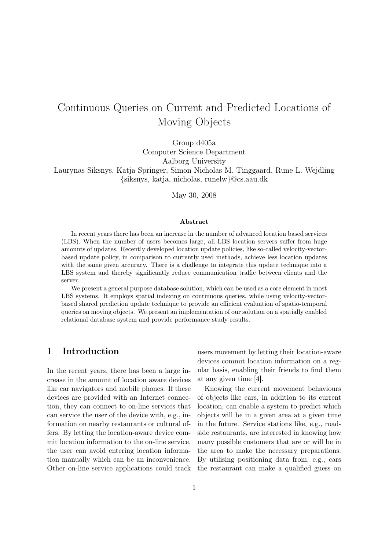# Continuous Queries on Current and Predicted Locations of Moving Objects

Group d405a

Computer Science Department Aalborg University Laurynas Siksnys, Katja Springer, Simon Nicholas M. Tinggaard, Rune L. Wejdling {siksnys, katja, nicholas, runelw}@cs.aau.dk

May 30, 2008

#### Abstract

In recent years there has been an increase in the number of advanced location based services (LBS). When the number of users becomes large, all LBS location servers suffer from huge amounts of updates. Recently developed location update policies, like so-called velocity-vectorbased update policy, in comparison to currently used methods, achieve less location updates with the same given accuracy. There is a challenge to integrate this update technique into a LBS system and thereby significantly reduce communication traffic between clients and the server.

We present a general purpose database solution, which can be used as a core element in most LBS systems. It employs spatial indexing on continuous queries, while using velocity-vectorbased shared prediction update technique to provide an efficient evaluation of spatio-temporal queries on moving objects. We present an implementation of our solution on a spatially enabled relational database system and provide performance study results.

# 1 Introduction

In the recent years, there has been a large increase in the amount of location aware devices like car navigators and mobile phones. If these devices are provided with an Internet connection, they can connect to on-line services that can service the user of the device with, e.g., information on nearby restaurants or cultural offers. By letting the location-aware device commit location information to the on-line service, the user can avoid entering location information manually which can be an inconvenience. Other on-line service applications could track users movement by letting their location-aware devices commit location information on a regular basis, enabling their friends to find them at any given time [\[4\]](#page-13-0).

Knowing the current movement behaviours of objects like cars, in addition to its current location, can enable a system to predict which objects will be in a given area at a given time in the future. Service stations like, e.g., roadside restaurants, are interested in knowing how many possible customers that are or will be in the area to make the necessary preparations. By utilising positioning data from, e.g., cars the restaurant can make a qualified guess on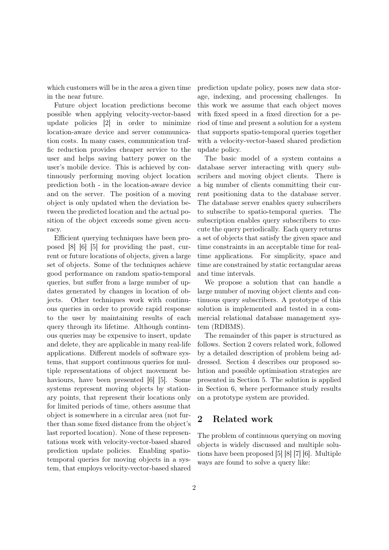which customers will be in the area a given time in the near future.

Future object location predictions become possible when applying velocity-vector-based update policies [\[2\]](#page-13-1) in order to minimize location-aware device and server communication costs. In many cases, communication traffic reduction provides cheaper service to the user and helps saving battery power on the user's mobile device. This is achieved by continuously performing moving object location prediction both - in the location-aware device and on the server. The position of a moving object is only updated when the deviation between the predicted location and the actual position of the object exceeds some given accuracy.

Efficient querying techniques have been proposed [\[8\]](#page-13-2) [\[6\]](#page-13-3) [\[5\]](#page-13-4) for providing the past, current or future locations of objects, given a large set of objects. Some of the techniques achieve good performance on random spatio-temporal queries, but suffer from a large number of updates generated by changes in location of objects. Other techniques work with continuous queries in order to provide rapid response to the user by maintaining results of each query through its lifetime. Although continuous queries may be expensive to insert, update and delete, they are applicable in many real-life applications. Different models of software systems, that support continuous queries for multiple representations of object movement be-haviours, have been presented [\[6\]](#page-13-3) [\[5\]](#page-13-4). Some systems represent moving objects by stationary points, that represent their locations only for limited periods of time, others assume that object is somewhere in a circular area (not further than some fixed distance from the object's last reported location). None of these representations work with velocity-vector-based shared prediction update policies. Enabling spatiotemporal queries for moving objects in a system, that employs velocity-vector-based shared

prediction update policy, poses new data storage, indexing, and processing challenges. In this work we assume that each object moves with fixed speed in a fixed direction for a period of time and present a solution for a system that supports spatio-temporal queries together with a velocity-vector-based shared prediction update policy.

The basic model of a system contains a database server interacting with query subscribers and moving object clients. There is a big number of clients committing their current positioning data to the database server. The database server enables query subscribers to subscribe to spatio-temporal queries. The subscription enables query subscribers to execute the query periodically. Each query returns a set of objects that satisfy the given space and time constraints in an acceptable time for realtime applications. For simplicity, space and time are constrained by static rectangular areas and time intervals.

We propose a solution that can handle a large number of moving object clients and continuous query subscribers. A prototype of this solution is implemented and tested in a commercial relational database management system (RDBMS).

The remainder of this paper is structured as follows. Section [2](#page-1-0) covers related work, followed by a detailed description of problem being addressed. Section [4](#page-3-0) describes our proposed solution and possible optimisation strategies are presented in Section [5.](#page-6-0) The solution is applied in Section [6,](#page-8-0) where performance study results on a prototype system are provided.

# <span id="page-1-0"></span>2 Related work

The problem of continuous querying on moving objects is widely discussed and multiple solutions have been proposed [\[5\]](#page-13-4) [\[8\]](#page-13-2) [\[7\]](#page-13-5) [\[6\]](#page-13-3). Multiple ways are found to solve a query like: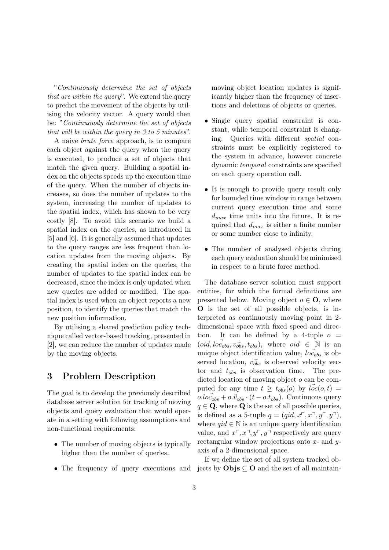"Continuously determine the set of objects that are within the query". We extend the query to predict the movement of the objects by utilising the velocity vector. A query would then be: "Continuously determine the set of objects that will be within the query in 3 to 5 minutes".

A naive brute force approach, is to compare each object against the query when the query is executed, to produce a set of objects that match the given query. Building a spatial index on the objects speeds up the execution time of the query. When the number of objects increases, so does the number of updates to the system, increasing the number of updates to the spatial index, which has shown to be very costly [\[8\]](#page-13-2). To avoid this scenario we build a spatial index on the queries, as introduced in [\[5\]](#page-13-4) and [\[6\]](#page-13-3). It is generally assumed that updates to the query ranges are less frequent than location updates from the moving objects. By creating the spatial index on the queries, the number of updates to the spatial index can be decreased, since the index is only updated when new queries are added or modified. The spatial index is used when an object reports a new position, to identify the queries that match the new position information.

By utilising a shared prediction policy technique called vector-based tracking, presented in [\[2\]](#page-13-1), we can reduce the number of updates made by the moving objects.

# <span id="page-2-0"></span>3 Problem Description

The goal is to develop the previously described database server solution for tracking of moving objects and query evaluation that would operate in a setting with following assumptions and non-functional requirements:

- The number of moving objects is typically higher than the number of queries.
- 

moving object location updates is significantly higher than the frequency of insertions and deletions of objects or queries.

- Single query spatial constraint is constant, while temporal constraint is changing. Queries with different spatial constraints must be explicitly registered to the system in advance, however concrete dynamic temporal constraints are specified on each query operation call.
- It is enough to provide query result only for bounded time window in range between current query execution time and some  $d_{max}$  time units into the future. It is required that  $d_{max}$  is either a finite number or some number close to infinity.
- The number of analysed objects during each query evaluation should be minimised in respect to a brute force method.

The database server solution must support entities, for which the formal definitions are presented below. Moving object  $o \in \mathbf{O}$ , where O is the set of all possible objects, is interpreted as continuously moving point in 2 dimensional space with fixed speed and direction. It can be defined by a 4-tuple  $o =$  $(\text{oid}, \text{loc}_{obs}, \text{v}_{obs}^{\dagger}, t_{obs}),$  where  $\text{oid} \in \mathbb{N}$  is an unique object identification value,  $loc_{obs}$  is observed location,  $\vec{v_{obs}}$  is observed velocity vector and  $t_{obs}$  is observation time. The predicted location of moving object  $o$  can be computed for any time  $t \geq t_{obs}(o)$  by  $loc(o, t)$  =  $o. loc<sub>obs</sub> + o. \vec{v}_{obs} \cdot (t - o. t_{obs})$ . Continuous query  $q \in \mathbf{Q}$ , where  $\mathbf{Q}$  is the set of all possible queries, is defined as a 5-tuple  $q = (qid, x<sup>–</sup>, x<sup>–</sup>, y<sup>–</sup>, y<sup>–</sup>),$ where  $qid \in \mathbb{N}$  is an unique query identification value, and  $x^r, x^r, y^r, y^r$  respectively are query rectangular window projections onto  $x$ - and  $y$ axis of a 2-dimensional space.

• The frequency of query executions and jects by  $\mathbf{Objs} \subseteq \mathbf{O}$  and the set of all maintain-If we define the set of all system tracked ob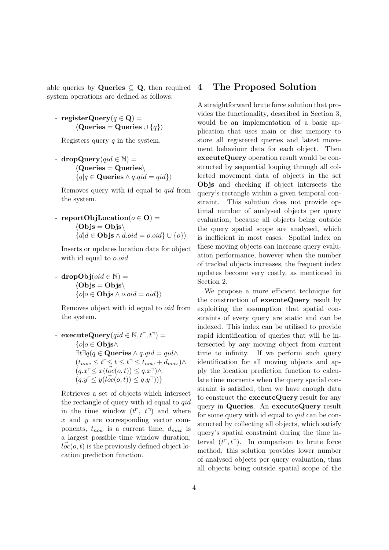able queries by **Queries**  $\subseteq$  **Q**, then required system operations are defined as follows:

- registerQuery $(q \in \mathbf{Q})$  =  $\langle$ Queries = Queries ∪  $\{q\}\rangle$ 

Registers query  $q$  in the system.

- dropQuery $(\text{qid} \in \mathbb{N})$  =  $\langle$ Queries = Queries $\setminus$  ${q|q \in \mathbf{Queries} \land q.qid = qid}$ 

Removes query with id equal to qid from the system.

- reportObjLocation( $o \in \mathbf{O}$ ) =  $\langle \text{Objs} = \text{Objs} \rangle$  ${d|d \in \mathbf{Objs} \land d.oid = o.oid} \cup {o}$ 

Inserts or updates location data for object with id equal to *o.oid*.

 $-$  dropObj $(\text{oid} \in \mathbb{N}) =$  $\langle \text{Objs} = \text{Objs} \rangle$  $\{o|o \in \mathbf{Objs} \land o.oid = oid\}\rangle$ 

Removes object with id equal to oid from the system.

- executeQuery(qid  $\in \mathbb{N}, t^{\mathsf{T}}, t^{\mathsf{T}}$ ) = { $o|o$  ∈ Objs∧  $\exists t \exists q (q \in \mathbf{Queries} \land q.qid = qid \land$  $(t_{now}\leq t^{\texttt{-}}\!\leq t\leq t^{\texttt{-}}\!\leq t_{now}+d_{max})\wedge$  $(q.x\ulcorner\leq x(l\vec{oc}(o,t))\leq q.x\urcorner)\wedge$  $(q.y\leq y(\vec{loc}(o,t))\leq q.y\vec{\lnot}))\}$ 

Retrieves a set of objects which intersect the rectangle of query with id equal to qid in the time window  $(t^{\dagger}, t^{\dagger})$  and where x and y are corresponding vector components,  $t_{now}$  is a current time,  $d_{max}$  is a largest possible time window duration,  $\vec{loc}(o, t)$  is the previously defined object location prediction function.

### <span id="page-3-0"></span>4 The Proposed Solution

A straightforward brute force solution that provides the functionality, described in Section [3,](#page-2-0) would be an implementation of a basic application that uses main or disc memory to store all registered queries and latest movement behaviour data for each object. Then executeQuery operation result would be constructed by sequential looping through all collected movement data of objects in the set Objs and checking if object intersects the query's rectangle within a given temporal constraint. This solution does not provide optimal number of analysed objects per query evaluation, because all objects being outside the query spatial scope are analysed, which is inefficient in most cases. Spatial index on these moving objects can increase query evaluation performance, however when the number of tracked objects increases, the frequent index updates become very costly, as mentioned in Section [2.](#page-1-0)

We propose a more efficient technique for the construction of executeQuery result by exploiting the assumption that spatial constraints of every query are static and can be indexed. This index can be utilised to provide rapid identification of queries that will be intersected by any moving object from current time to infinity. If we perform such query identification for all moving objects and apply the location prediction function to calculate time moments when the query spatial constraint is satisfied, then we have enough data to construct the executeQuery result for any query in Queries. An executeQuery result for some query with id equal to  $qid$  can be constructed by collecting all objects, which satisfy query's spatial constraint during the time interval  $(t^{\mathsf{T}}, t^{\mathsf{T}})$ . In comparison to brute force method, this solution provides lower number of analysed objects per query evaluation, thus all objects being outside spatial scope of the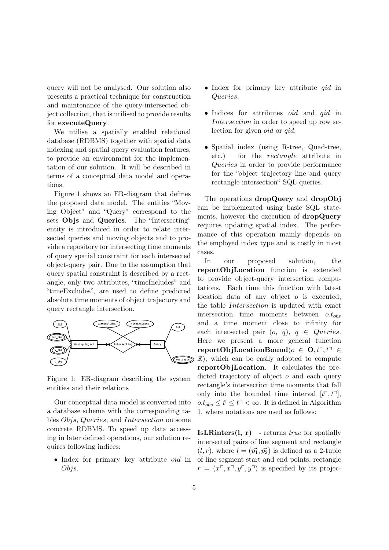query will not be analysed. Our solution also presents a practical technique for construction and maintenance of the query-intersected object collection, that is utilised to provide results for executeQuery.

We utilise a spatially enabled relational database (RDBMS) together with spatial data indexing and spatial query evaluation features, to provide an environment for the implementation of our solution. It will be described in terms of a conceptual data model and operations.

Figure [1](#page-4-0) shows an ER-diagram that defines the proposed data model. The entities "Moving Object" and "Query" correspond to the sets Objs and Queries. The "Intersecting" entity is introduced in order to relate intersected queries and moving objects and to provide a repository for intersecting time moments of query spatial constraint for each intersected object-query pair. Due to the assumption that query spatial constraint is described by a rectangle, only two attributes, "timeIncludes" and "timeExcludes", are used to define predicted absolute time moments of object trajectory and query rectangle intersection.



<span id="page-4-0"></span>Figure 1: ER-diagram describing the system entities and their relations

Our conceptual data model is converted into a database schema with the corresponding tables Objs, Queries, and Intersection on some concrete RDBMS. To speed up data accessing in later defined operations, our solution requires following indices:

• Index for primary key attribute *oid* in Objs.

- Index for primary key attribute *qid* in Queries.
- Indices for attributes *oid* and *gid* in Intersection in order to speed up row selection for given oid or qid.
- Spatial index (using R-tree, Quad-tree, etc.) for the rectangle attribute in Queries in order to provide performance for the "object trajectory line and query rectangle intersection" SQL queries.

The operations dropQuery and dropObj can be implemented using basic SQL statements, however the execution of dropQuery requires updating spatial index. The performance of this operation mainly depends on the employed index type and is costly in most cases.

In our proposed solution, the reportObjLocation function is extended to provide object-query intersection computations. Each time this function with latest location data of any object o is executed, the table Intersection is updated with exact intersection time moments between  $o.t_{obs}$ and a time moment close to infinity for each intersected pair  $(o, q)$ ,  $q \in Queries$ . Here we present a more general function reportObjLocationBound( $o \in \mathbf{O}, t^r, t^{\mathsf{T}} \in$ R), which can be easily adopted to compute reportObjLocation. It calculates the predicted trajectory of object  $o$  and each query rectangle's intersection time moments that fall only into the bounded time interval  $[t^{\mathsf{T}}, t^{\mathsf{T}}]$ ,  $0.t_{obs} \leq t^{\top} \leq t^{\top} < \infty$ . It is defined in Algorithm [1,](#page-5-0) where notations are used as follows:

**IsLRinters(l, r)** - returns *true* for spatially intersected pairs of line segment and rectangle  $(l, r)$ , where  $l = (\vec{p_1}, \vec{p_2})$  is defined as a 2-tuple of line segment start and end points, rectangle  $r = (x^{\square}, x^{\square}, y^{\square}, y^{\square})$  is specified by its projec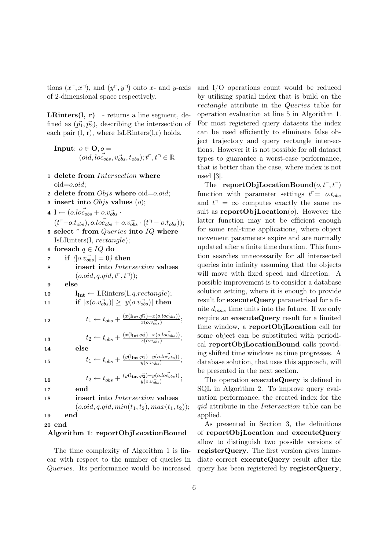tions  $(x^{\square}, x^{\square})$ , and  $(y^{\square}, y^{\square})$  onto x- and y-axis of 2-dimensional space respectively.

**LRinters(l, r)** - returns a line segment, defined as  $(\vec{p}_1, \vec{p}_2)$ , describing the intersection of each pair  $(l, r)$ , where IsLRinters $(l,r)$  holds.

<span id="page-5-0"></span>Input:  $o \in \mathbf{O}, o =$  $(\overrightarrow{oid}, \overrightarrow{loc}_{obs}, \overrightarrow{v_{obs}}, t_{obs}); t^{\sqsubset}, t^{\sqcap} \in \mathbb{R}$ 

- 1 delete from Intersection where  $oid = o.oid$ ;
- 2 delete from  $Objs$  where  $oid = o.oid;$
- 3 insert into  $Objs$  values  $(o)$ ;
- $\mathbf{1} \leftarrow (\vec{o} \cdot \vec{loc_{obs}} + \vec{o} \cdot \vec{v_{obs}})$
- <span id="page-5-1"></span> $(\vec{t}^{\top} - o.t_{obs}), \vec{o} \cdot \vec{loc}_{obs} + o.v_{obs} \cdot (\vec{t}^{\top} - o.t_{obs}))$ ; 5 select  $*$  from Queries into  $IQ$  where
- IsLRinters(l, rectangle);
- 6 foreach  $q \in IQ$  do
- 7 if  $\langle |o.v_{obs} \rangle | = 0$  then
- 8 insert into Intersection values  $(0.oid, q.qid, t^{\mathsf{T}}, t^{\mathsf{T}}));$
- 9 else
- 10  $\mathbf{l}_{\text{int}} \leftarrow \text{LRinters}(\mathbf{l}, q\text{.}rectangle);$
- 11 if  $|x(o.v_{obs}^{\rightarrow})| \ge |y(o.v_{obs}^{\rightarrow})|$  then

$$
t_1 \leftarrow t_{obs} + \frac{(x(\mathbf{l}_{\text{int}}.\vec{p_1}) - x(o_{\text{cos}}))}{x(o_{\text{cos}})},
$$

13 
$$
t_2 \leftarrow t_{obs} + \frac{(x(\mathbf{l}_{\mathrm{int}}.\vec{p_2}) - x(o_{\mathrm{.}}\vec{o}_{\mathrm{.}}))}{x(o_{\mathrm{.}}\vec{v_{\mathrm{.}}})};
$$

14 else

15  $t_1 \leftarrow t_{obs} + \frac{(y(\mathbf{l}_{\text{int}}.\vec{p_1}) - y(o_{\cdot}loc_{obs}))}{y(o_{\cdot}vo_{\cdot}is)};$ 

16 
$$
t_2 \leftarrow t_{obs} + \frac{(y(\mathbf{l_{int}} \cdot \vec{p_2}) - y(o_{obs}))}{y(o_{obs})};
$$

$$
17 \quad \blacksquare
$$

end

#### 18 insert into Intersection values

 $(0.0id, q.qid, min(t_1, t_2), max(t_1, t_2));$ 

19 end

#### 20 end

#### Algorithm 1: reportObjLocationBound

The time complexity of Algorithm [1](#page-5-0) is linear with respect to the number of queries in Queries. Its performance would be increased and I/O operations count would be reduced by utilising spatial index that is build on the rectangle attribute in the Queries table for operation evaluation at line [5](#page-5-1) in Algorithm [1.](#page-5-0) For most registered query datasets the index can be used efficiently to eliminate false object trajectory and query rectangle intersections. However it is not possible for all dataset types to guarantee a worst-case performance, that is better than the case, where index is not used [\[3\]](#page-13-6).

The reportObjLocationBound $(o, t<sup>\top</sup>, t<sup>\top</sup>)$ function with parameter settings  $t^{\mathsf{T}} = o.t_{obs}$ and  $t^{\dagger} = \infty$  computes exactly the same result as **reportOb**; Location $(o)$ . However the latter function may not be efficient enough for some real-time applications, where object movement parameters expire and are normally updated after a finite time duration. This function searches unnecessarily for all intersected queries into infinity assuming that the objects will move with fixed speed and direction. A possible improvement is to consider a database solution setting, where it is enough to provide result for **executeQuery** parametrised for a finite  $d_{max}$  time units into the future. If we only require an executeQuery result for a limited time window, a reportObjLocation call for some object can be substituted with periodical reportObjLocationBound calls providing shifted time windows as time progresses. A database solution, that uses this approach, will be presented in the next section.

The operation executeQuery is defined in SQL in Algorithm [2.](#page-5-2) To improve query evaluation performance, the created index for the qid attribute in the Intersection table can be applied.

<span id="page-5-2"></span>As presented in Section [3,](#page-2-0) the definitions of reportObjLocation and executeQuery allow to distinguish two possible versions of registerQuery. The first version gives immediate correct executeQuery result after the query has been registered by registerQuery,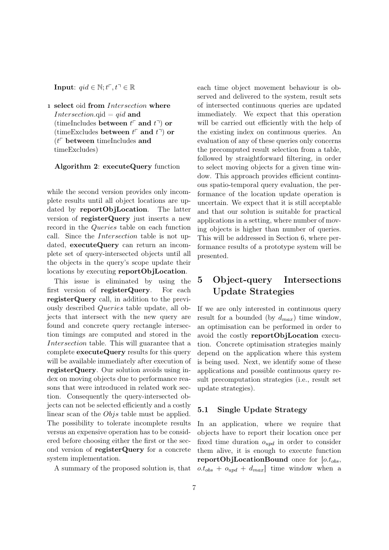**Input**:  $qid \in \mathbb{N}; t^{\mathsf{T}}, t^{\mathsf{T}} \in \mathbb{R}$ 

1 select oid from Intersection where Intersection.qid =  $qid$  and (timeIncludes between  $t^{\mathsf{T}}$  and  $t^{\mathsf{T}}$ ) or (timeExcludes between  $t^{\mathsf{T}}$  and  $t^{\mathsf{T}}$ ) or  $(t<sup>6</sup>$  between timeIncludes and timeExcludes)

#### Algorithm 2: executeQuery function

while the second version provides only incomplete results until all object locations are updated by reportObjLocation. The latter version of registerQuery just inserts a new record in the Queries table on each function call. Since the Intersection table is not updated, executeQuery can return an incomplete set of query-intersected objects until all the objects in the query's scope update their locations by executing reportObjLocation.

This issue is eliminated by using the first version of registerQuery. For each registerQuery call, in addition to the previously described Queries table update, all objects that intersect with the new query are found and concrete query rectangle intersection timings are computed and stored in the Intersection table. This will guarantee that a complete executeQuery results for this query will be available immediately after execution of registerQuery. Our solution avoids using index on moving objects due to performance reasons that were introduced in related work section. Consequently the query-intersected objects can not be selected efficiently and a costly linear scan of the Objs table must be applied. The possibility to tolerate incomplete results versus an expensive operation has to be considered before choosing either the first or the second version of registerQuery for a concrete system implementation.

A summary of the proposed solution is, that

each time object movement behaviour is observed and delivered to the system, result sets of intersected continuous queries are updated immediately. We expect that this operation will be carried out efficiently with the help of the existing index on continuous queries. An evaluation of any of these queries only concerns the precomputed result selection from a table, followed by straightforward filtering, in order to select moving objects for a given time window. This approach provides efficient continuous spatio-temporal query evaluation, the performance of the location update operation is uncertain. We expect that it is still acceptable and that our solution is suitable for practical applications in a setting, where number of moving objects is higher than number of queries. This will be addressed in Section [6,](#page-8-0) where performance results of a prototype system will be presented.

# <span id="page-6-0"></span>5 Object-query Intersections Update Strategies

If we are only interested in continuous query result for a bounded (by  $d_{max}$ ) time window, an optimisation can be performed in order to avoid the costly reportObjLocation execution. Concrete optimisation strategies mainly depend on the application where this system is being used. Next, we identify some of these applications and possible continuous query result precomputation strategies (i.e., result set update strategies).

#### 5.1 Single Update Strategy

In an application, where we require that objects have to report their location once per fixed time duration  $o_{upd}$  in order to consider them alive, it is enough to execute function reportObjLocationBound once for  $[0.t_{obs},$  $o.t_{obs} + o_{upd} + d_{max}$  time window when a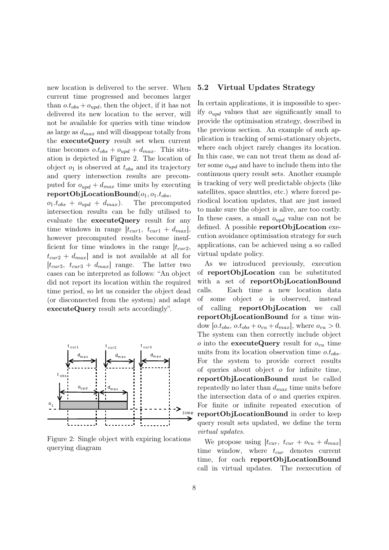new location is delivered to the server. When current time progressed and becomes larger than  $o.t_{obs} + o_{uvd}$ , then the object, if it has not delivered its new location to the server, will not be available for queries with time window as large as  $d_{max}$  and will disappear totally from the executeQuery result set when current time becomes  $o.t_{obs} + o_{upd} + d_{max}$ . This situation is depicted in Figure [2.](#page-7-0) The location of object  $o_1$  is observed at  $t_{obs}$  and its trajectory and query intersection results are precomputed for  $o_{upd} + d_{max}$  time units by executing reportObjLocationBound $(o_1, o_1.t_{obs},$ 

 $o_1.t_{obs} + o_{upd} + d_{max}$ . The precomputed intersection results can be fully utilised to evaluate the executeQuery result for any time windows in range  $[t_{cur1}, t_{cur1} + d_{max}]$ , however precomputed results become insufficient for time windows in the range  $[t<sub>cur2</sub>]$ ,  $t_{cur2} + d_{max}$  and is not available at all for  $[t_{cur3}, t_{cur3} + d_{max}]$  range. The latter two cases can be interpreted as follows: "An object did not report its location within the required time period, so let us consider the object dead (or disconnected from the system) and adapt executeQuery result sets accordingly".



<span id="page-7-0"></span>Figure 2: Single object with expiring locations querying diagram

#### 5.2 Virtual Updates Strategy

In certain applications, it is impossible to specify  $o_{und}$  values that are significantly small to provide the optimisation strategy, described in the previous section. An example of such application is tracking of semi-stationary objects, where each object rarely changes its location. In this case, we can not treat them as dead after some  $o_{uvd}$  and have to include them into the continuous query result sets. Another example is tracking of very well predictable objects (like satellites, space shuttles, etc.) where forced periodical location updates, that are just issued to make sure the object is alive, are too costly. In these cases, a small  $o_{upd}$  value can not be defined. A possible reportObjLocation execution avoidance optimisation strategy for such applications, can be achieved using a so called virtual update policy.

As we introduced previously, execution of reportObjLocation can be substituted with a set of reportObjLocationBound calls. Each time a new location data of some object o is observed, instead of calling reportObjLocation we call reportObjLocationBound for a time window  $[0.t_{obs}, 0.t_{obs} + o_{vu} + d_{max}]$ , where  $o_{vu} > 0$ . The system can then correctly include object *o* into the **executeQuery** result for  $o_{vu}$  time units from its location observation time  $o.t_{obs}$ . For the system to provide correct results of queries about object o for infinite time, reportObjLocationBound must be called repeatedly no later than  $d_{max}$  time units before the intersection data of o and queries expires. For finite or infinite repeated execution of reportObjLocationBound in order to keep query result sets updated, we define the term virtual updates.

We propose using  $[t_{cur}, t_{cur} + o_{vu} + d_{max}]$ time window, where  $t_{cur}$  denotes current time, for each reportObjLocationBound call in virtual updates. The reexecution of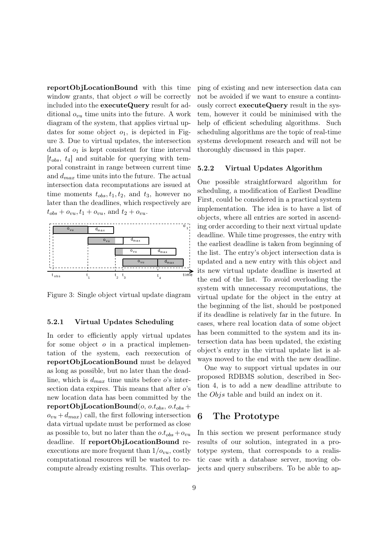reportObjLocationBound with this time window grants, that object *o* will be correctly included into the executeQuery result for additional  $o_{vu}$  time units into the future. A work diagram of the system, that applies virtual updates for some object  $o_1$ , is depicted in Figure [3.](#page-8-1) Due to virtual updates, the intersection data of  $o_1$  is kept consistent for time interval  $[t_{obs}, t_4]$  and suitable for querying with temporal constraint in range between current time and  $d_{max}$  time units into the future. The actual intersection data recomputations are issued at time moments  $t_{obs}, t_1, t_2$ , and  $t_3$ , however no later than the deadlines, which respectively are  $t_{obs} + o_{vu}, t_1 + o_{vu},$  and  $t_2 + o_{vu}$ .



<span id="page-8-1"></span>Figure 3: Single object virtual update diagram

#### 5.2.1 Virtual Updates Scheduling

In order to efficiently apply virtual updates for some object  $o$  in a practical implementation of the system, each reexecution of reportObjLocationBound must be delayed as long as possible, but no later than the deadline, which is  $d_{max}$  time units before o's intersection data expires. This means that after  $o$ 's new location data has been committed by the  $\textbf{reportObjLocationBound}(o, o.t_{obs}, o.t_{obs} +$  $o_{vu} + d_{max}$ ) call, the first following intersection data virtual update must be performed as close as possible to, but no later than the  $o.t_{obs} + o_{vu}$ deadline. If reportObjLocationBound reexecutions are more frequent than  $1/\omega_{vu}$ , costly computational resources will be wasted to recompute already existing results. This overlapping of existing and new intersection data can not be avoided if we want to ensure a continuously correct executeQuery result in the system, however it could be minimised with the help of efficient scheduling algorithms. Such scheduling algorithms are the topic of real-time systems development research and will not be thoroughly discussed in this paper.

#### 5.2.2 Virtual Updates Algorithm

One possible straightforward algorithm for scheduling, a modification of Earliest Deadline First, could be considered in a practical system implementation. The idea is to have a list of objects, where all entries are sorted in ascending order according to their next virtual update deadline. While time progresses, the entry with the earliest deadline is taken from beginning of the list. The entry's object intersection data is updated and a new entry with this object and its new virtual update deadline is inserted at the end of the list. To avoid overloading the system with unnecessary recomputations, the virtual update for the object in the entry at the beginning of the list, should be postponed if its deadline is relatively far in the future. In cases, where real location data of some object has been committed to the system and its intersection data has been updated, the existing object's entry in the virtual update list is always moved to the end with the new deadline.

One way to support virtual updates in our proposed RDBMS solution, described in Section [4,](#page-3-0) is to add a new deadline attribute to the Objs table and build an index on it.

### <span id="page-8-0"></span>6 The Prototype

In this section we present performance study results of our solution, integrated in a prototype system, that corresponds to a realistic case with a database server, moving objects and query subscribers. To be able to ap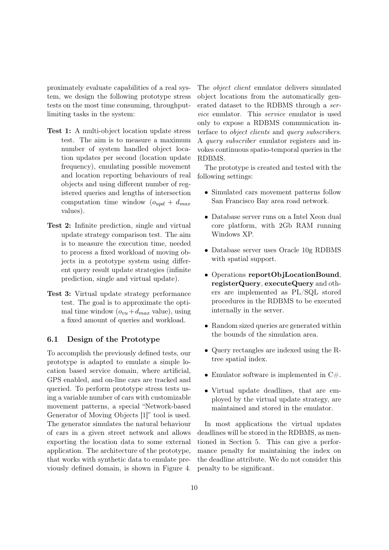proximately evaluate capabilities of a real system, we design the following prototype stress tests on the most time consuming, throughputlimiting tasks in the system:

- Test 1: A multi-object location update stress test. The aim is to measure a maximum number of system handled object location updates per second (location update frequency), emulating possible movement and location reporting behaviours of real objects and using different number of registered queries and lengths of intersection computation time window  $(o_{u\textit{pd}} + d_{\textit{max}})$ values).
- Test 2: Infinite prediction, single and virtual update strategy comparison test. The aim is to measure the execution time, needed to process a fixed workload of moving objects in a prototype system using different query result update strategies (infinite prediction, single and virtual update).
- Test 3: Virtual update strategy performance test. The goal is to approximate the optimal time window  $(o_{vu}+d_{max}$  value), using a fixed amount of queries and workload.

#### 6.1 Design of the Prototype

To accomplish the previously defined tests, our prototype is adapted to emulate a simple location based service domain, where artificial, GPS enabled, and on-line cars are tracked and queried. To perform prototype stress tests using a variable number of cars with customizable movement patterns, a special "Network-based Generator of Moving Objects [\[1\]](#page-13-7)" tool is used. The generator simulates the natural behaviour of cars in a given street network and allows exporting the location data to some external application. The architecture of the prototype, that works with synthetic data to emulate previously defined domain, is shown in Figure [4.](#page-10-0)

The object client emulator delivers simulated object locations from the automatically generated dataset to the RDBMS through a service emulator. This service emulator is used only to expose a RDBMS communication interface to object clients and query subscribers. A query subscriber emulator registers and invokes continuous spatio-temporal queries in the RDBMS.

The prototype is created and tested with the following settings:

- Simulated cars movement patterns follow San Francisco Bay area road network.
- Database server runs on a Intel Xeon dual core platform, with 2Gb RAM running Windows XP.
- Database server uses Oracle 10g RDBMS with spatial support.
- Operations reportObjLocationBound, registerQuery, executeQuery and others are implemented as PL/SQL stored procedures in the RDBMS to be executed internally in the server.
- Random sized queries are generated within the bounds of the simulation area.
- Query rectangles are indexed using the Rtree spatial index.
- Emulator software is implemented in  $C#$ .
- Virtual update deadlines, that are employed by the virtual update strategy, are maintained and stored in the emulator.

In most applications the virtual updates deadlines will be stored in the RDBMS, as mentioned in Section [5.](#page-6-0) This can give a performance penalty for maintaining the index on the deadline attribute. We do not consider this penalty to be significant.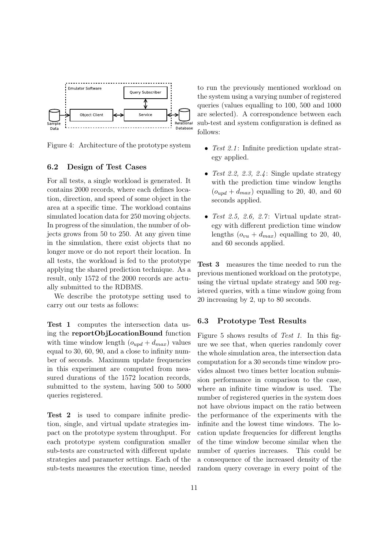

<span id="page-10-0"></span>Figure 4: Architecture of the prototype system

#### 6.2 Design of Test Cases

For all tests, a single workload is generated. It contains 2000 records, where each defines location, direction, and speed of some object in the area at a specific time. The workload contains simulated location data for 250 moving objects. In progress of the simulation, the number of objects grows from 50 to 250. At any given time in the simulation, there exist objects that no longer move or do not report their location. In all tests, the workload is fed to the prototype applying the shared prediction technique. As a result, only 1572 of the 2000 records are actually submitted to the RDBMS.

We describe the prototype setting used to carry out our tests as follows:

Test 1 computes the intersection data using the reportObjLocationBound function with time window length  $(o_{upd} + d_{max})$  values equal to 30, 60, 90, and a close to infinity number of seconds. Maximum update frequencies in this experiment are computed from measured durations of the 1572 location records, submitted to the system, having 500 to 5000 queries registered.

Test 2 is used to compare infinite prediction, single, and virtual update strategies impact on the prototype system throughput. For each prototype system configuration smaller sub-tests are constructed with different update strategies and parameter settings. Each of the sub-tests measures the execution time, needed to run the previously mentioned workload on the system using a varying number of registered queries (values equalling to 100, 500 and 1000 are selected). A correspondence between each sub-test and system configuration is defined as follows:

- Test 2.1: Infinite prediction update strategy applied.
- Test 2.2, 2.3, 2.4: Single update strategy with the prediction time window lengths  $(o_{u\text{nd}} + d_{\text{max}})$  equalling to 20, 40, and 60 seconds applied.
- Test 2.5, 2.6, 2.7: Virtual update strategy with different prediction time window lengths  $(o_{vu} + d_{max})$  equalling to 20, 40, and 60 seconds applied.

Test 3 measures the time needed to run the previous mentioned workload on the prototype, using the virtual update strategy and 500 registered queries, with a time window going from 20 increasing by 2, up to 80 seconds.

#### 6.3 Prototype Test Results

Figure [5](#page-11-0) shows results of Test 1. In this figure we see that, when queries randomly cover the whole simulation area, the intersection data computation for a 30 seconds time window provides almost two times better location submission performance in comparison to the case, where an infinite time window is used. The number of registered queries in the system does not have obvious impact on the ratio between the performance of the experiments with the infinite and the lowest time windows. The location update frequencies for different lengths of the time window become similar when the number of queries increases. This could be a consequence of the increased density of the random query coverage in every point of the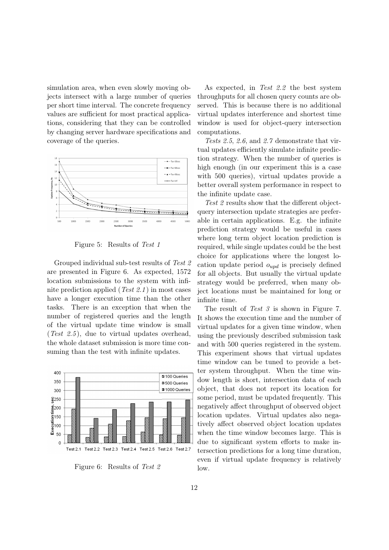simulation area, when even slowly moving objects intersect with a large number of queries per short time interval. The concrete frequency values are sufficient for most practical applications, considering that they can be controlled by changing server hardware specifications and coverage of the queries.



<span id="page-11-0"></span>Figure 5: Results of Test 1

Grouped individual sub-test results of Test 2 are presented in Figure [6.](#page-11-1) As expected, 1572 location submissions to the system with infinite prediction applied (Test 2.1) in most cases have a longer execution time than the other tasks. There is an exception that when the number of registered queries and the length of the virtual update time window is small (Test 2.5), due to virtual updates overhead, the whole dataset submission is more time consuming than the test with infinite updates.



<span id="page-11-1"></span>Figure 6: Results of Test 2

As expected, in Test 2.2 the best system throughputs for all chosen query counts are observed. This is because there is no additional virtual updates interference and shortest time window is used for object-query intersection computations.

Tests 2.5, 2.6, and 2.7 demonstrate that virtual updates efficiently simulate infinite prediction strategy. When the number of queries is high enough (in our experiment this is a case with 500 queries), virtual updates provide a better overall system performance in respect to the infinite update case.

Test 2 results show that the different objectquery intersection update strategies are preferable in certain applications. E.g. the infinite prediction strategy would be useful in cases where long term object location prediction is required, while single updates could be the best choice for applications where the longest location update period  $o_{upd}$  is precisely defined for all objects. But usually the virtual update strategy would be preferred, when many object locations must be maintained for long or infinite time.

The result of Test 3 is shown in Figure [7.](#page-12-0) It shows the execution time and the number of virtual updates for a given time window, when using the previously described submission task and with 500 queries registered in the system. This experiment shows that virtual updates time window can be tuned to provide a better system throughput. When the time window length is short, intersection data of each object, that does not report its location for some period, must be updated frequently. This negatively affect throughput of observed object location updates. Virtual updates also negatively affect observed object location updates when the time window becomes large. This is due to significant system efforts to make intersection predictions for a long time duration, even if virtual update frequency is relatively low.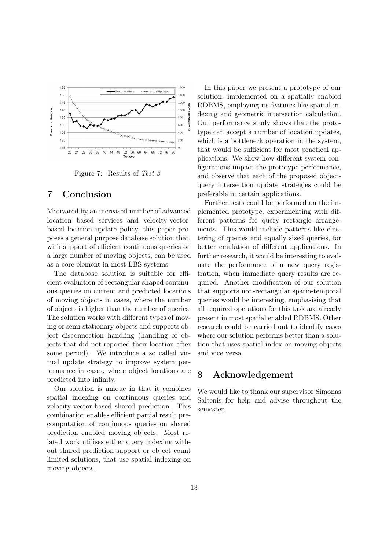

<span id="page-12-0"></span>Figure 7: Results of Test 3

# 7 Conclusion

Motivated by an increased number of advanced location based services and velocity-vectorbased location update policy, this paper proposes a general purpose database solution that, with support of efficient continuous queries on a large number of moving objects, can be used as a core element in most LBS systems.

The database solution is suitable for efficient evaluation of rectangular shaped continuous queries on current and predicted locations of moving objects in cases, where the number of objects is higher than the number of queries. The solution works with different types of moving or semi-stationary objects and supports object disconnection handling (handling of objects that did not reported their location after some period). We introduce a so called virtual update strategy to improve system performance in cases, where object locations are predicted into infinity.

Our solution is unique in that it combines spatial indexing on continuous queries and velocity-vector-based shared prediction. This combination enables efficient partial result precomputation of continuous queries on shared prediction enabled moving objects. Most related work utilises either query indexing without shared prediction support or object count limited solutions, that use spatial indexing on moving objects.

In this paper we present a prototype of our solution, implemented on a spatially enabled RDBMS, employing its features like spatial indexing and geometric intersection calculation. Our performance study shows that the prototype can accept a number of location updates, which is a bottleneck operation in the system, that would be sufficient for most practical applications. We show how different system configurations impact the prototype performance, and observe that each of the proposed objectquery intersection update strategies could be preferable in certain applications.

Further tests could be performed on the implemented prototype, experimenting with different patterns for query rectangle arrangements. This would include patterns like clustering of queries and equally sized queries, for better emulation of different applications. In further research, it would be interesting to evaluate the performance of a new query registration, when immediate query results are required. Another modification of our solution that supports non-rectangular spatio-temporal queries would be interesting, emphasising that all required operations for this task are already present in most spatial enabled RDBMS. Other research could be carried out to identify cases where our solution performs better than a solution that uses spatial index on moving objects and vice versa.

# 8 Acknowledgement

We would like to thank our supervisor Simonas Saltenis for help and advise throughout the semester.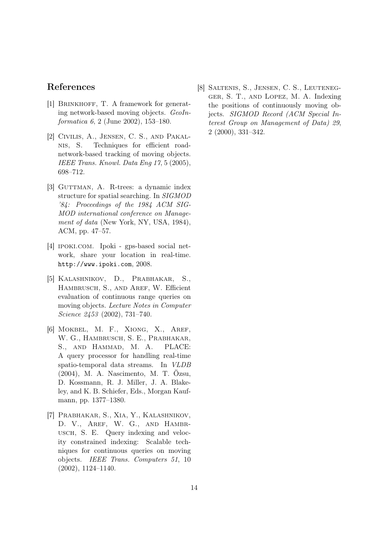# References

- <span id="page-13-7"></span>[1] BRINKHOFF, T. A framework for generating network-based moving objects. GeoInformatica 6, 2 (June 2002), 153–180.
- <span id="page-13-1"></span>[2] Civilis, A., Jensen, C. S., and Pakalnis, S. Techniques for efficient roadnetwork-based tracking of moving objects. IEEE Trans. Knowl. Data Eng 17, 5 (2005), 698–712.
- <span id="page-13-6"></span>[3] GUTTMAN, A. R-trees: a dynamic index structure for spatial searching. In SIGMOD '84: Proceedings of the 1984 ACM SIG-MOD international conference on Management of data (New York, NY, USA, 1984), ACM, pp. 47–57.
- <span id="page-13-0"></span>[4] ipoki.com. Ipoki - gps-based social network, share your location in real-time. <http://www.ipoki.com>, 2008.
- <span id="page-13-4"></span>[5] Kalashnikov, D., Prabhakar, S., HAMBRUSCH, S., AND AREF, W. Efficient evaluation of continuous range queries on moving objects. Lecture Notes in Computer Science 2453 (2002), 731–740.
- <span id="page-13-3"></span>[6] Mokbel, M. F., Xiong, X., Aref, W. G., HAMBRUSCH, S. E., PRABHAKAR, S., and Hammad, M. A. PLACE: A query processor for handling real-time spatio-temporal data streams. In VLDB (2004), M. A. Nascimento, M. T. Özsu, D. Kossmann, R. J. Miller, J. A. Blakeley, and K. B. Schiefer, Eds., Morgan Kaufmann, pp. 1377–1380.
- <span id="page-13-5"></span>[7] Prabhakar, S., Xia, Y., Kalashnikov, D. V., AREF, W. G., AND HAMBRusch, S. E. Query indexing and velocity constrained indexing: Scalable techniques for continuous queries on moving objects. IEEE Trans. Computers 51, 10 (2002), 1124–1140.

<span id="page-13-2"></span>[8] Saltenis, S., Jensen, C. S., Leutenegger, S. T., and Lopez, M. A. Indexing the positions of continuously moving objects. SIGMOD Record (ACM Special Interest Group on Management of Data) 29, 2 (2000), 331–342.